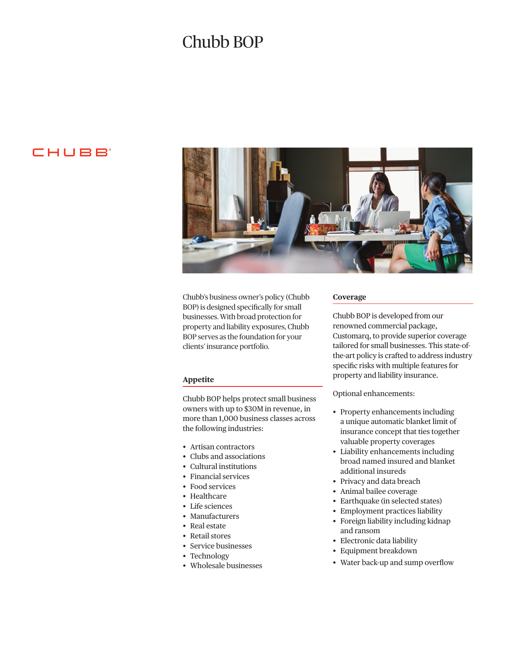# Chubb BOP

# **CHUBB**



Chubb's business owner's policy (Chubb BOP) is designed specifcally for small businesses. With broad protection for property and liability exposures, Chubb BOP serves as the foundation for your clients' insurance portfolio.

# **Appetite**

Chubb BOP helps protect small business owners with up to \$30M in revenue, in more than 1,000 business classes across the following industries:

- Artisan contractors
- Clubs and associations
- Cultural institutions
- Financial services
- Food services
- Healthcare
- Life sciences
- Manufacturers
- Real estate
- Retail stores
- Service businesses
- Technology
- Wholesale businesses

# **Coverage**

Chubb BOP is developed from our renowned commercial package, Customarq, to provide superior coverage tailored for small businesses. This state-ofthe-art policy is crafted to address industry specifc risks with multiple features for property and liability insurance.

Optional enhancements:

- Property enhancements including a unique automatic blanket limit of insurance concept that ties together valuable property coverages
- Liability enhancements including broad named insured and blanket additional insureds
- Privacy and data breach
- Animal bailee coverage
- Earthquake (in selected states)
- Employment practices liability
- Foreign liability including kidnap and ransom
- Electronic data liability
- Equipment breakdown
- Water back-up and sump overflow